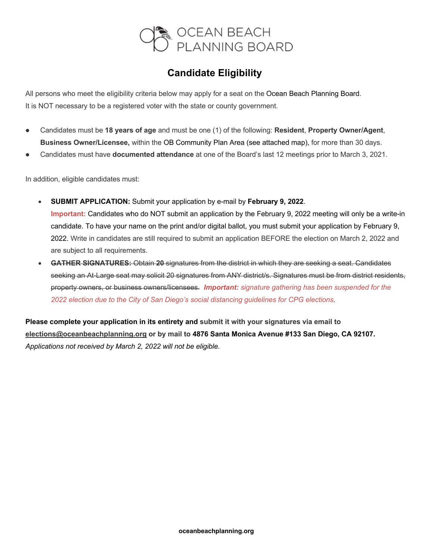

## **Candidate Eligibility**

All persons who meet the eligibility criteria below may apply for a seat on the Ocean Beach Planning Board. It is NOT necessary to be a registered voter with the state or county government.

- l Candidates must be **18 years of age** and must be one (1) of the following: **Resident**, **Property Owner/Agent**, **Business Owner/Licensee,** within the OB Community Plan Area (see attached map), for more than 30 days.
- l Candidates must have **documented attendance** at one of the Board's last 12 meetings prior to March 3, 2021.

In addition, eligible candidates must:

- **SUBMIT APPLICATION:** Submit your application by e-mail by **February 9, 2022**. **Important:** Candidates who do NOT submit an application by the February 9, 2022 meeting will only be a write-in candidate. To have your name on the print and/or digital ballot, you must submit your application by February 9, 2022. Write in candidates are still required to submit an application BEFORE the election on March 2, 2022 and are subject to all requirements.
- **GATHER SIGNATURES:** Obtain **20** signatures from the district in which they are seeking a seat. Candidates seeking an At-Large seat may solicit 20 signatures from ANY district/s. Signatures must be from district residents, property owners, or business owners/licensees*. Important: signature gathering has been suspended for the 2022 election due to the City of San Diego's social distancing guidelines for CPG elections*.

**Please complete your application in its entirety and submit it with your signatures via email to elections@oceanbeachplanning.org or by mail to 4876 Santa Monica Avenue #133 San Diego, CA 92107.** *Applications not received by March 2, 2022 will not be eligible.*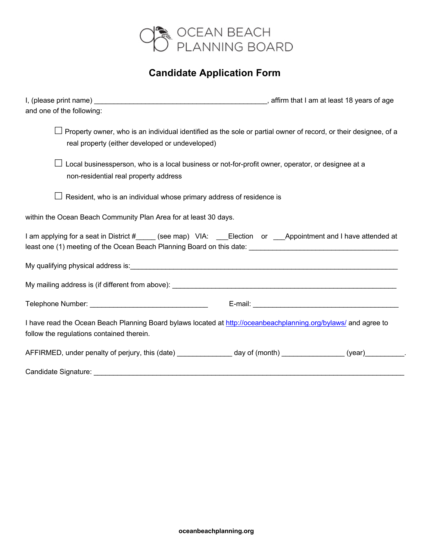

## **Candidate Application Form**

| and one of the following:                                                                                                                                          |  |  |  |  |  |
|--------------------------------------------------------------------------------------------------------------------------------------------------------------------|--|--|--|--|--|
| Property owner, who is an individual identified as the sole or partial owner of record, or their designee, of a<br>real property (either developed or undeveloped) |  |  |  |  |  |
| Local businessperson, who is a local business or not-for-profit owner, operator, or designee at a<br>non-residential real property address                         |  |  |  |  |  |
| Resident, who is an individual whose primary address of residence is                                                                                               |  |  |  |  |  |
| within the Ocean Beach Community Plan Area for at least 30 days.                                                                                                   |  |  |  |  |  |
| I am applying for a seat in District #_____ (see map) VIA: ___Election or ___Appointment and I have attended at                                                    |  |  |  |  |  |
|                                                                                                                                                                    |  |  |  |  |  |
|                                                                                                                                                                    |  |  |  |  |  |
| Telephone Number: __________________________________                                                                                                               |  |  |  |  |  |
| I have read the Ocean Beach Planning Board bylaws located at http://oceanbeachplanning.org/bylaws/ and agree to<br>follow the regulations contained therein.       |  |  |  |  |  |
| AFFIRMED, under penalty of perjury, this (date) _____________ day of (month) _____________(year) _________.                                                        |  |  |  |  |  |
| Candidate Signature:                                                                                                                                               |  |  |  |  |  |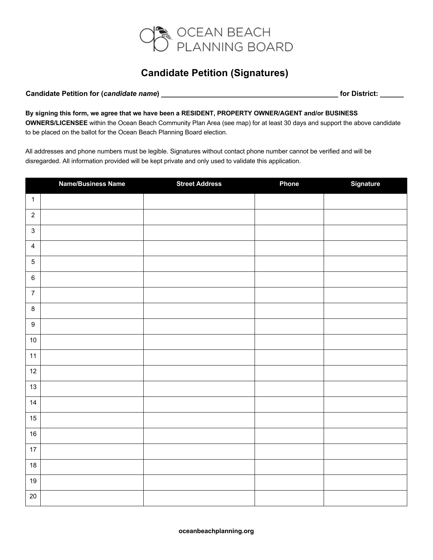

## **Candidate Petition (Signatures)**

## **Candidate Petition for (***candidate name***)** *Dependent of the candidate name Candidate name* **<b>***name Candidate name Candidate name Candidate name Candidate name Candidate name Candidate in the c*

**By signing this form, we agree that we have been a RESIDENT, PROPERTY OWNER/AGENT and/or BUSINESS OWNERS/LICENSEE** within the Ocean Beach Community Plan Area (see map) for at least 30 days and support the above candidate to be placed on the ballot for the Ocean Beach Planning Board election.

All addresses and phone numbers must be legible. Signatures without contact phone number cannot be verified and will be disregarded. All information provided will be kept private and only used to validate this application.

|                         | <b>Name/Business Name</b> | <b>Street Address</b> | Phone | <b>Signature</b> |
|-------------------------|---------------------------|-----------------------|-------|------------------|
| $\mathbf{1}$            |                           |                       |       |                  |
| $\sqrt{2}$              |                           |                       |       |                  |
| $\mathbf{3}$            |                           |                       |       |                  |
| $\overline{\mathbf{4}}$ |                           |                       |       |                  |
| $\sqrt{5}$              |                           |                       |       |                  |
| $\,6\,$                 |                           |                       |       |                  |
| $\overline{7}$          |                           |                       |       |                  |
| $\,8\,$                 |                           |                       |       |                  |
| $\boldsymbol{9}$        |                           |                       |       |                  |
| $10$                    |                           |                       |       |                  |
| 11                      |                           |                       |       |                  |
| 12                      |                           |                       |       |                  |
| 13                      |                           |                       |       |                  |
| 14                      |                           |                       |       |                  |
| 15                      |                           |                       |       |                  |
| $16\,$                  |                           |                       |       |                  |
| $17\,$                  |                           |                       |       |                  |
| $18\,$                  |                           |                       |       |                  |
| $19$                    |                           |                       |       |                  |
| $20\,$                  |                           |                       |       |                  |